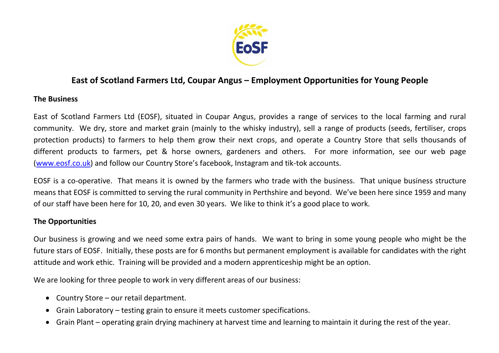

## **East of Scotland Farmers Ltd, Coupar Angus – Employment Opportunities for Young People**

## **The Business**

East of Scotland Farmers Ltd (EOSF), situated in Coupar Angus, provides a range of services to the local farming and rural community. We dry, store and market grain (mainly to the whisky industry), sell a range of products (seeds, fertiliser, crops protection products) to farmers to help them grow their next crops, and operate a Country Store that sells thousands of different products to farmers, pet & horse owners, gardeners and others. For more information, see our web page [\(www.eosf.co.uk](http://www.eosf.co.uk/)) and follow our Country Store's facebook, Instagram and tik-tok accounts.

EOSF is a co-operative. That means it is owned by the farmers who trade with the business. That unique business structure means that EOSF is committed to serving the rural community in Perthshire and beyond. We've been here since 1959 and many of our staff have been here for 10, 20, and even 30 years. We like to think it's a good place to work.

## **The Opportunities**

Our business is growing and we need some extra pairs of hands. We want to bring in some young people who might be the future stars of EOSF. Initially, these posts are for 6 months but permanent employment is available for candidates with the right attitude and work ethic. Training will be provided and a modern apprenticeship might be an option.

We are looking for three people to work in very different areas of our business:

- Country Store our retail department.
- Grain Laboratory testing grain to ensure it meets customer specifications.
- Grain Plant operating grain drying machinery at harvest time and learning to maintain it during the rest of the year.